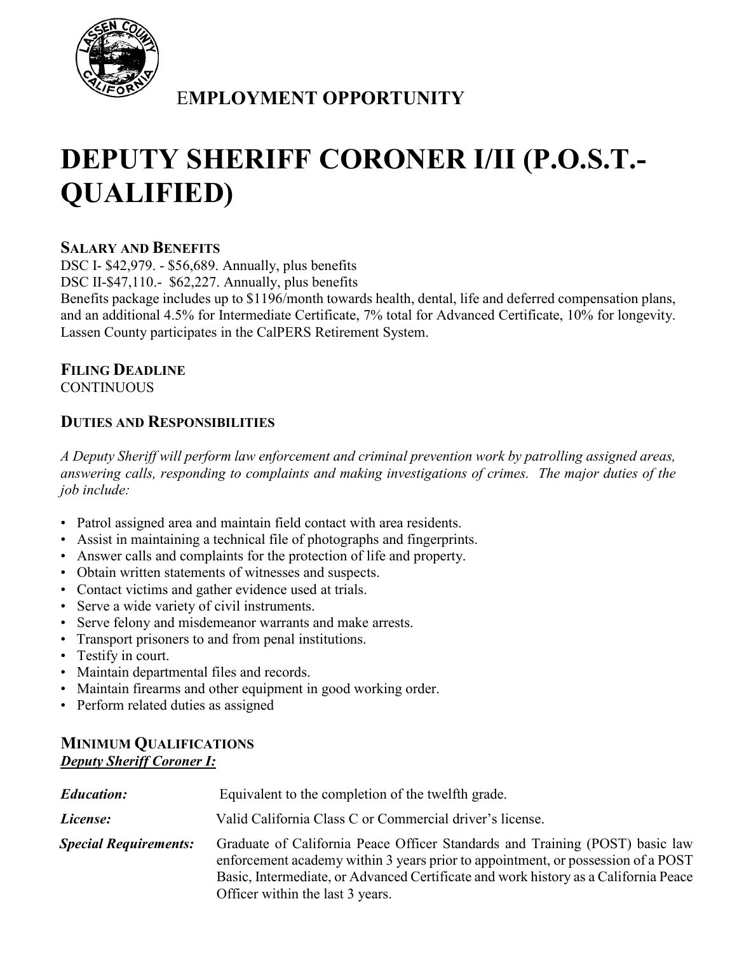

## E**MPLOYMENT OPPORTUNITY**

# **DEPUTY SHERIFF CORONER I/II (P.O.S.T.- QUALIFIED)**

#### **SALARY AND BENEFITS**

DSC I- \$42,979. - \$56,689. Annually, plus benefits DSC II-\$47,110.- \$62,227. Annually, plus benefits

Benefits package includes up to \$1196/month towards health, dental, life and deferred compensation plans, and an additional 4.5% for Intermediate Certificate, 7% total for Advanced Certificate, 10% for longevity. Lassen County participates in the CalPERS Retirement System.

## **FILING DEADLINE**

**CONTINUOUS** 

## **DUTIES AND RESPONSIBILITIES**

*A Deputy Sheriff will perform law enforcement and criminal prevention work by patrolling assigned areas, answering calls, responding to complaints and making investigations of crimes. The major duties of the job include:*

- Patrol assigned area and maintain field contact with area residents.
- Assist in maintaining a technical file of photographs and fingerprints.
- Answer calls and complaints for the protection of life and property.
- Obtain written statements of witnesses and suspects.
- Contact victims and gather evidence used at trials.
- Serve a wide variety of civil instruments.
- Serve felony and misdemeanor warrants and make arrests.
- Transport prisoners to and from penal institutions.
- Testify in court.
- Maintain departmental files and records.
- Maintain firearms and other equipment in good working order.
- Perform related duties as assigned

## **MINIMUM QUALIFICATIONS** *Deputy Sheriff Coroner I:*

| <b>Education:</b>            | Equivalent to the completion of the twelfth grade.                                                                                                                                                                                                                                          |  |  |
|------------------------------|---------------------------------------------------------------------------------------------------------------------------------------------------------------------------------------------------------------------------------------------------------------------------------------------|--|--|
| License:                     | Valid California Class C or Commercial driver's license.                                                                                                                                                                                                                                    |  |  |
| <b>Special Requirements:</b> | Graduate of California Peace Officer Standards and Training (POST) basic law<br>enforcement academy within 3 years prior to appointment, or possession of a POST<br>Basic, Intermediate, or Advanced Certificate and work history as a California Peace<br>Officer within the last 3 years. |  |  |